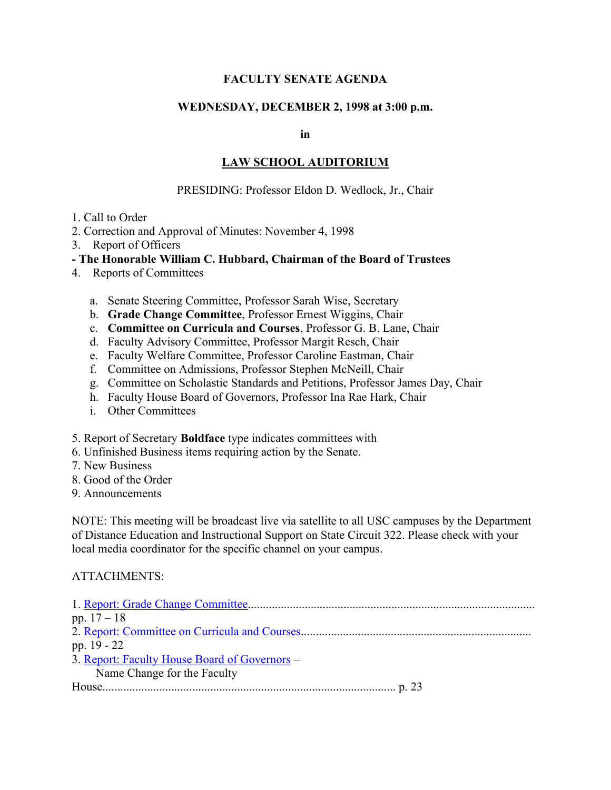# **FACULTY SENATE AGENDA**

### **WEDNESDAY, DECEMBER 2, 1998 at 3:00 p.m.**

**in**

## **LAW SCHOOL AUDITORIUM**

#### PRESIDING: Professor Eldon D. Wedlock, Jr., Chair

- 1. Call to Order
- 2. Correction and Approval of Minutes: November 4, 1998
- 3. Report of Officers
- **- The Honorable William C. Hubbard, Chairman of the Board of Trustees**
- 4. Reports of Committees
	- a. Senate Steering Committee, Professor Sarah Wise, Secretary
	- b. **Grade Change Committee**, Professor Ernest Wiggins, Chair
	- c. **Committee on Curricula and Courses**, Professor G. B. Lane, Chair
	- d. Faculty Advisory Committee, Professor Margit Resch, Chair
	- e. Faculty Welfare Committee, Professor Caroline Eastman, Chair
	- f. Committee on Admissions, Professor Stephen McNeill, Chair
	- g. Committee on Scholastic Standards and Petitions, Professor James Day, Chair
	- h. Faculty House Board of Governors, Professor Ina Rae Hark, Chair
	- i. Other Committees
- 5. Report of Secretary **Boldface** type indicates committees with
- 6. Unfinished Business items requiring action by the Senate.
- 7. New Business
- 8. Good of the Order
- 9. Announcements

NOTE: This meeting will be broadcast live via satellite to all USC campuses by the Department of Distance Education and Instructional Support on State Circuit 322. Please check with your local media coordinator for the specific channel on your campus.

#### ATTACHMENTS:

| pp. $17 - 18$                                 |
|-----------------------------------------------|
|                                               |
| pp. 19 - 22                                   |
| 3. Report: Faculty House Board of Governors – |
| Name Change for the Faculty                   |
|                                               |